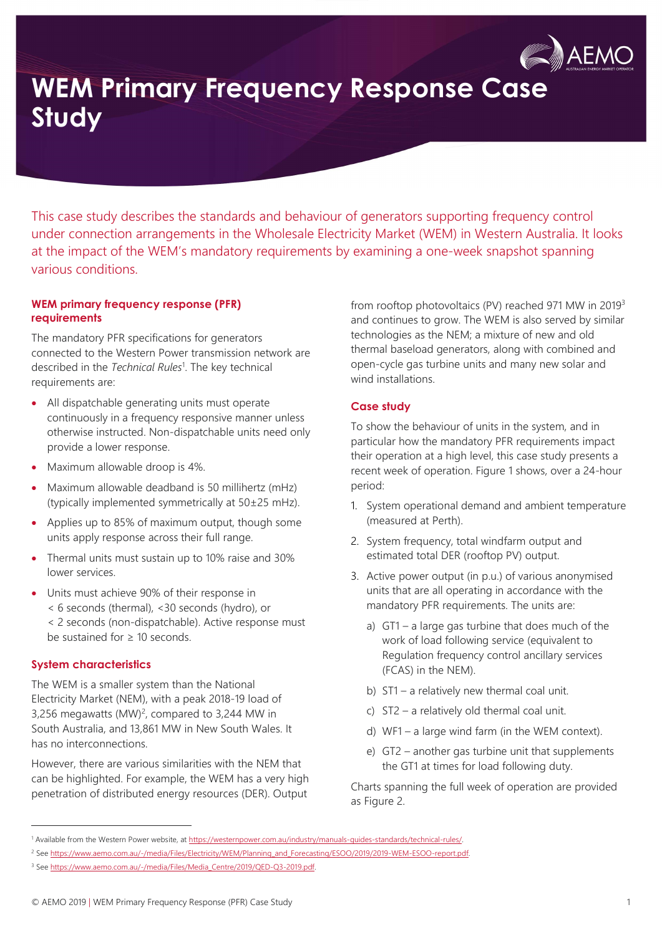

# WEM Primary Frequency Response Case Study

This case study describes the standards and behaviour of generators supporting frequency control under connection arrangements in the Wholesale Electricity Market (WEM) in Western Australia. It looks at the impact of the WEM's mandatory requirements by examining a one-week snapshot spanning various conditions.

### WEM primary frequency response (PFR) requirements

The mandatory PFR specifications for generators connected to the Western Power transmission network are described in the Technical Rules<sup>1</sup>. The key technical requirements are:

- All dispatchable generating units must operate continuously in a frequency responsive manner unless otherwise instructed. Non-dispatchable units need only provide a lower response.
- Maximum allowable droop is 4%.
- Maximum allowable deadband is 50 millihertz (mHz) (typically implemented symmetrically at 50±25 mHz).
- Applies up to 85% of maximum output, though some units apply response across their full range.
- Thermal units must sustain up to 10% raise and 30% lower services.
- Units must achieve 90% of their response in < 6 seconds (thermal), <30 seconds (hydro), or < 2 seconds (non-dispatchable). Active response must be sustained for ≥ 10 seconds.

# System characteristics

 $\overline{a}$ 

The WEM is a smaller system than the National Electricity Market (NEM), with a peak 2018-19 load of 3,256 megawatts  $(MW)^2$ , compared to 3,244 MW in South Australia, and 13,861 MW in New South Wales. It has no interconnections.

However, there are various similarities with the NEM that can be highlighted. For example, the WEM has a very high penetration of distributed energy resources (DER). Output

from rooftop photovoltaics (PV) reached 971 MW in 2019<sup>3</sup> and continues to grow. The WEM is also served by similar technologies as the NEM; a mixture of new and old thermal baseload generators, along with combined and open-cycle gas turbine units and many new solar and wind installations.

# Case study

To show the behaviour of units in the system, and in particular how the mandatory PFR requirements impact their operation at a high level, this case study presents a recent week of operation. Figure 1 shows, over a 24-hour period:

- 1. System operational demand and ambient temperature (measured at Perth).
- 2. System frequency, total windfarm output and estimated total DER (rooftop PV) output.
- 3. Active power output (in p.u.) of various anonymised units that are all operating in accordance with the mandatory PFR requirements. The units are:
	- a) GT1 a large gas turbine that does much of the work of load following service (equivalent to Regulation frequency control ancillary services (FCAS) in the NEM).
	- b) ST1 a relatively new thermal coal unit.
	- c) ST2 a relatively old thermal coal unit.
	- d) WF1 a large wind farm (in the WEM context).
	- e) GT2 another gas turbine unit that supplements the GT1 at times for load following duty.

Charts spanning the full week of operation are provided as Figure 2.

<sup>&</sup>lt;sup>1</sup> Available from the Western Power website, at https://westernpower.com.au/industry/manuals-guides-standards/technical-rules/.

<sup>2</sup> See https://www.aemo.com.au/-/media/Files/Electricity/WEM/Planning\_and\_Forecasting/ESOO/2019/2019-WEM-ESOO-report.pdf.

<sup>&</sup>lt;sup>3</sup> See https://www.aemo.com.au/-/media/Files/Media\_Centre/2019/QED-Q3-2019.pdf.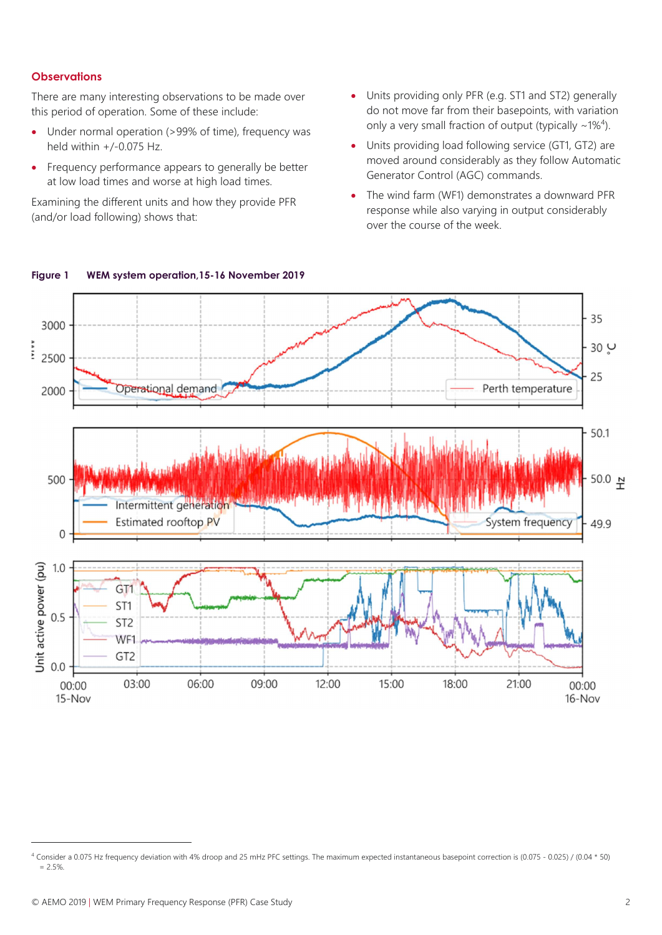#### **Observations**

There are many interesting observations to be made over this period of operation. Some of these include:

- Under normal operation (>99% of time), frequency was held within  $+/-0.075$  Hz.
- Frequency performance appears to generally be better at low load times and worse at high load times.

Examining the different units and how they provide PFR (and/or load following) shows that:

- Units providing only PFR (e.g. ST1 and ST2) generally do not move far from their basepoints, with variation only a very small fraction of output (typically  $\sim$ 1%<sup>4</sup>).
- Units providing load following service (GT1, GT2) are moved around considerably as they follow Automatic Generator Control (AGC) commands.
- The wind farm (WF1) demonstrates a downward PFR response while also varying in output considerably over the course of the week.



#### Figure 1 WEM system operation,15-16 November 2019

i,

<sup>4</sup> Consider a 0.075 Hz frequency deviation with 4% droop and 25 mHz PFC settings. The maximum expected instantaneous basepoint correction is (0.075 - 0.025) / (0.04 \* 50)  $= 2.5%$